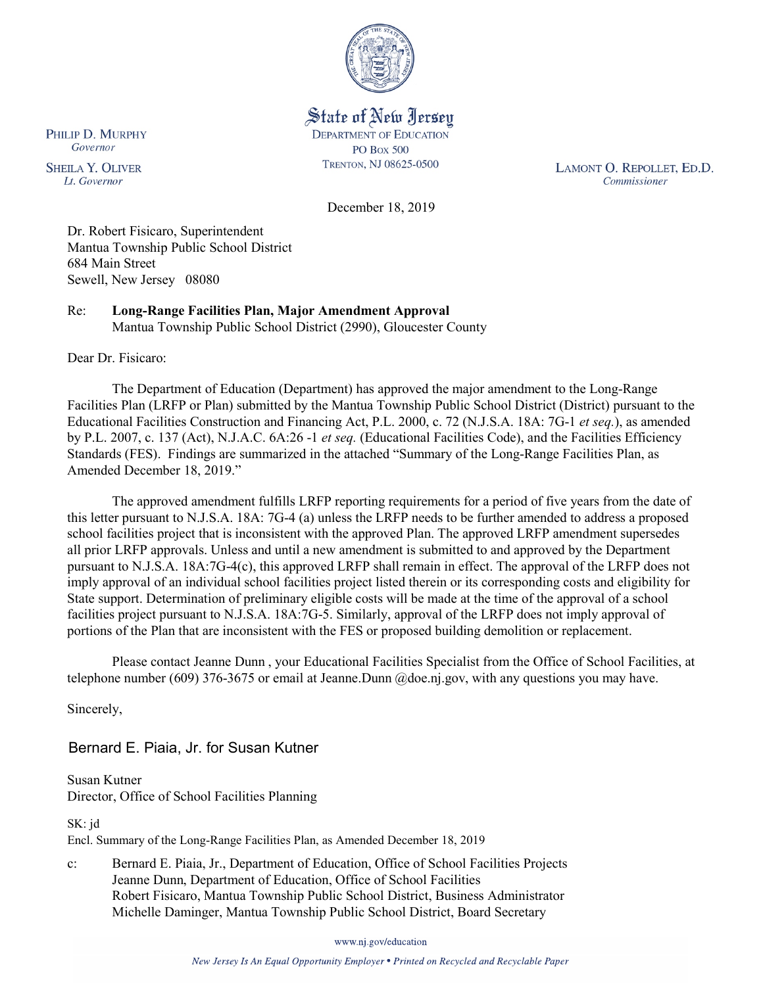

State of New Jersey **DEPARTMENT OF EDUCATION PO Box 500** TRENTON, NJ 08625-0500

LAMONT O. REPOLLET, ED.D. Commissioner

December 18, 2019

Dr. Robert Fisicaro, Superintendent Mantua Township Public School District 684 Main Street Sewell, New Jersey 08080

Re: **Long-Range Facilities Plan, Major Amendment Approval** Mantua Township Public School District (2990), Gloucester County

Dear Dr. Fisicaro:

The Department of Education (Department) has approved the major amendment to the Long-Range Facilities Plan (LRFP or Plan) submitted by the Mantua Township Public School District (District) pursuant to the Educational Facilities Construction and Financing Act, P.L. 2000, c. 72 (N.J.S.A. 18A: 7G-1 *et seq.*), as amended by P.L. 2007, c. 137 (Act), N.J.A.C. 6A:26 -1 *et seq.* (Educational Facilities Code), and the Facilities Efficiency Standards (FES). Findings are summarized in the attached "Summary of the Long-Range Facilities Plan, as Amended December 18, 2019."

The approved amendment fulfills LRFP reporting requirements for a period of five years from the date of this letter pursuant to N.J.S.A. 18A: 7G-4 (a) unless the LRFP needs to be further amended to address a proposed school facilities project that is inconsistent with the approved Plan. The approved LRFP amendment supersedes all prior LRFP approvals. Unless and until a new amendment is submitted to and approved by the Department pursuant to N.J.S.A. 18A:7G-4(c), this approved LRFP shall remain in effect. The approval of the LRFP does not imply approval of an individual school facilities project listed therein or its corresponding costs and eligibility for State support. Determination of preliminary eligible costs will be made at the time of the approval of a school facilities project pursuant to N.J.S.A. 18A:7G-5. Similarly, approval of the LRFP does not imply approval of portions of the Plan that are inconsistent with the FES or proposed building demolition or replacement.

Please contact Jeanne Dunn , your Educational Facilities Specialist from the Office of School Facilities, at telephone number (609) 376-3675 or email at Jeanne.Dunn @doe.nj.gov, with any questions you may have.

Sincerely,

Bernard E. Piaia, Jr. for Susan Kutner

Susan Kutner Director, Office of School Facilities Planning

SK: jd

Encl. Summary of the Long-Range Facilities Plan, as Amended December 18, 2019

c: Bernard E. Piaia, Jr., Department of Education, Office of School Facilities Projects Jeanne Dunn, Department of Education, Office of School Facilities Robert Fisicaro, Mantua Township Public School District, Business Administrator Michelle Daminger, Mantua Township Public School District, Board Secretary

www.nj.gov/education

New Jersey Is An Equal Opportunity Employer . Printed on Recycled and Recyclable Paper

PHILIP D. MURPHY Governor

**SHEILA Y. OLIVER** Lt. Governor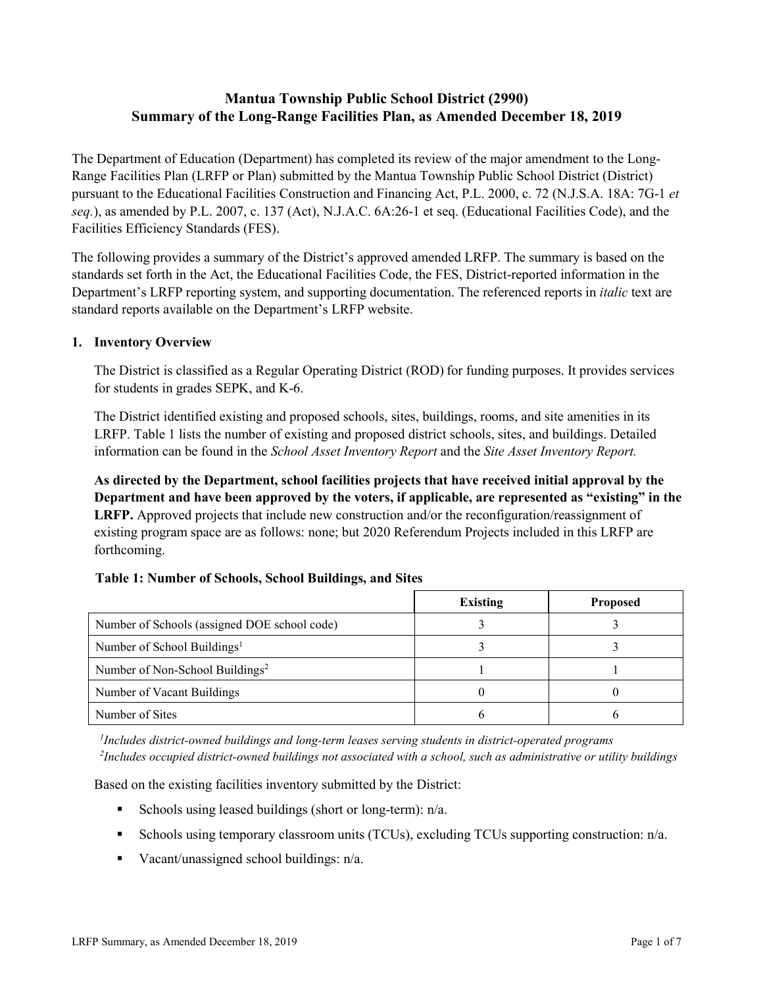# **Mantua Township Public School District (2990) Summary of the Long-Range Facilities Plan, as Amended December 18, 2019**

The Department of Education (Department) has completed its review of the major amendment to the Long-Range Facilities Plan (LRFP or Plan) submitted by the Mantua Township Public School District (District) pursuant to the Educational Facilities Construction and Financing Act, P.L. 2000, c. 72 (N.J.S.A. 18A: 7G-1 *et seq.*), as amended by P.L. 2007, c. 137 (Act), N.J.A.C. 6A:26-1 et seq. (Educational Facilities Code), and the Facilities Efficiency Standards (FES).

The following provides a summary of the District's approved amended LRFP. The summary is based on the standards set forth in the Act, the Educational Facilities Code, the FES, District-reported information in the Department's LRFP reporting system, and supporting documentation. The referenced reports in *italic* text are standard reports available on the Department's LRFP website.

### **1. Inventory Overview**

The District is classified as a Regular Operating District (ROD) for funding purposes. It provides services for students in grades SEPK, and K-6.

The District identified existing and proposed schools, sites, buildings, rooms, and site amenities in its LRFP. Table 1 lists the number of existing and proposed district schools, sites, and buildings. Detailed information can be found in the *School Asset Inventory Report* and the *Site Asset Inventory Report.*

**As directed by the Department, school facilities projects that have received initial approval by the Department and have been approved by the voters, if applicable, are represented as "existing" in the LRFP.** Approved projects that include new construction and/or the reconfiguration/reassignment of existing program space are as follows: none; but 2020 Referendum Projects included in this LRFP are forthcoming.

#### **Table 1: Number of Schools, School Buildings, and Sites**

|                                              | Existing | <b>Proposed</b> |
|----------------------------------------------|----------|-----------------|
| Number of Schools (assigned DOE school code) |          |                 |
| Number of School Buildings <sup>1</sup>      |          |                 |
| Number of Non-School Buildings <sup>2</sup>  |          |                 |
| Number of Vacant Buildings                   |          |                 |
| Number of Sites                              |          |                 |

*1 Includes district-owned buildings and long-term leases serving students in district-operated programs 2 Includes occupied district-owned buildings not associated with a school, such as administrative or utility buildings*

Based on the existing facilities inventory submitted by the District:

- Schools using leased buildings (short or long-term):  $n/a$ .
- Schools using temporary classroom units (TCUs), excluding TCUs supporting construction:  $n/a$ .
- Vacant/unassigned school buildings:  $n/a$ .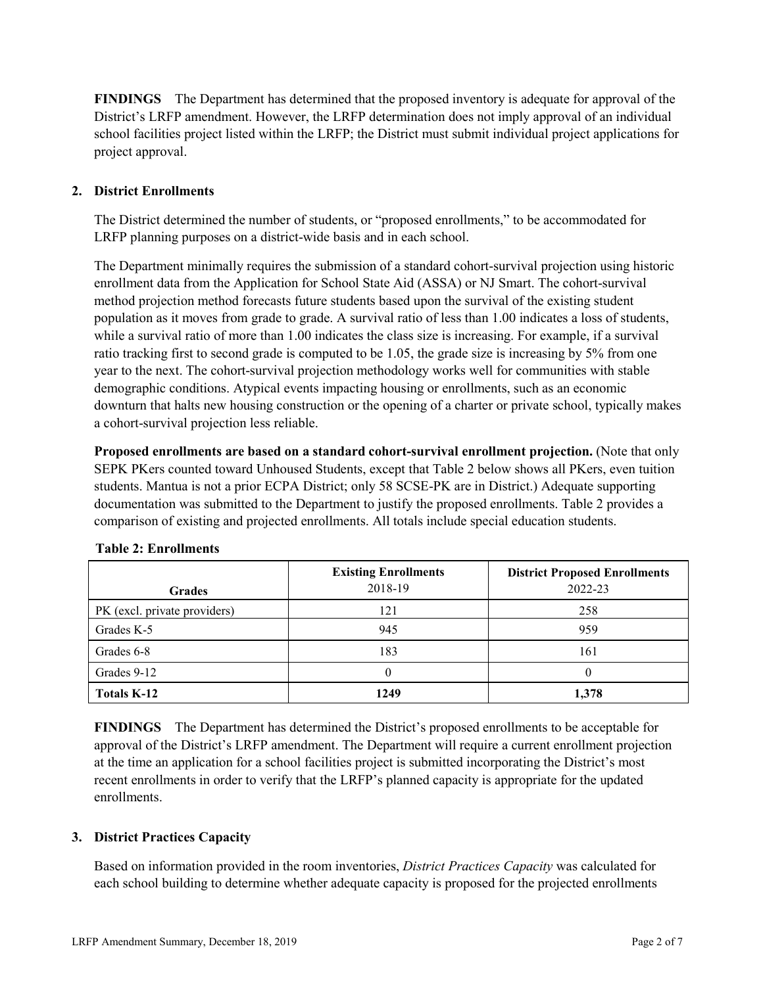**FINDINGS** The Department has determined that the proposed inventory is adequate for approval of the District's LRFP amendment. However, the LRFP determination does not imply approval of an individual school facilities project listed within the LRFP; the District must submit individual project applications for project approval.

## **2. District Enrollments**

The District determined the number of students, or "proposed enrollments," to be accommodated for LRFP planning purposes on a district-wide basis and in each school.

The Department minimally requires the submission of a standard cohort-survival projection using historic enrollment data from the Application for School State Aid (ASSA) or NJ Smart. The cohort-survival method projection method forecasts future students based upon the survival of the existing student population as it moves from grade to grade. A survival ratio of less than 1.00 indicates a loss of students, while a survival ratio of more than 1.00 indicates the class size is increasing. For example, if a survival ratio tracking first to second grade is computed to be 1.05, the grade size is increasing by 5% from one year to the next. The cohort-survival projection methodology works well for communities with stable demographic conditions. Atypical events impacting housing or enrollments, such as an economic downturn that halts new housing construction or the opening of a charter or private school, typically makes a cohort-survival projection less reliable.

**Proposed enrollments are based on a standard cohort-survival enrollment projection.** (Note that only SEPK PKers counted toward Unhoused Students, except that Table 2 below shows all PKers, even tuition students. Mantua is not a prior ECPA District; only 58 SCSE-PK are in District.) Adequate supporting documentation was submitted to the Department to justify the proposed enrollments. Table 2 provides a comparison of existing and projected enrollments. All totals include special education students.

| <b>Grades</b>                | <b>Existing Enrollments</b><br>2018-19 | <b>District Proposed Enrollments</b><br>2022-23 |
|------------------------------|----------------------------------------|-------------------------------------------------|
| PK (excl. private providers) | 121                                    | 258                                             |
| Grades K-5                   | 945                                    | 959                                             |
| Grades 6-8                   | 183                                    | 161                                             |
| Grades 9-12                  |                                        | 0                                               |
| <b>Totals K-12</b>           | 1249                                   | 1,378                                           |

#### **Table 2: Enrollments**

**FINDINGS** The Department has determined the District's proposed enrollments to be acceptable for approval of the District's LRFP amendment. The Department will require a current enrollment projection at the time an application for a school facilities project is submitted incorporating the District's most recent enrollments in order to verify that the LRFP's planned capacity is appropriate for the updated enrollments.

#### **3. District Practices Capacity**

Based on information provided in the room inventories, *District Practices Capacity* was calculated for each school building to determine whether adequate capacity is proposed for the projected enrollments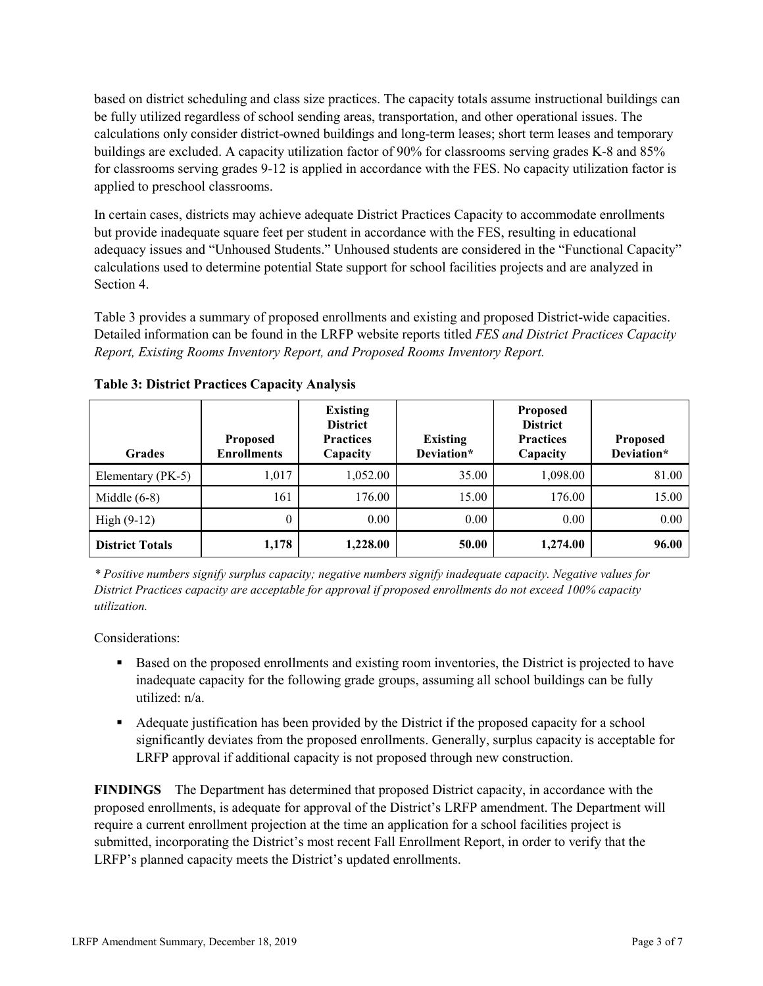based on district scheduling and class size practices. The capacity totals assume instructional buildings can be fully utilized regardless of school sending areas, transportation, and other operational issues. The calculations only consider district-owned buildings and long-term leases; short term leases and temporary buildings are excluded. A capacity utilization factor of 90% for classrooms serving grades K-8 and 85% for classrooms serving grades 9-12 is applied in accordance with the FES. No capacity utilization factor is applied to preschool classrooms.

In certain cases, districts may achieve adequate District Practices Capacity to accommodate enrollments but provide inadequate square feet per student in accordance with the FES, resulting in educational adequacy issues and "Unhoused Students." Unhoused students are considered in the "Functional Capacity" calculations used to determine potential State support for school facilities projects and are analyzed in Section 4.

Table 3 provides a summary of proposed enrollments and existing and proposed District-wide capacities. Detailed information can be found in the LRFP website reports titled *FES and District Practices Capacity Report, Existing Rooms Inventory Report, and Proposed Rooms Inventory Report.*

| <b>Grades</b>          | <b>Proposed</b><br><b>Enrollments</b> | <b>Existing</b><br><b>District</b><br><b>Practices</b><br>Capacity | <b>Existing</b><br>Deviation* | <b>Proposed</b><br><b>District</b><br><b>Practices</b><br>Capacity | <b>Proposed</b><br>Deviation* |
|------------------------|---------------------------------------|--------------------------------------------------------------------|-------------------------------|--------------------------------------------------------------------|-------------------------------|
| Elementary (PK-5)      | 1,017                                 | 1,052.00                                                           | 35.00                         | 1,098.00                                                           | 81.00                         |
| Middle $(6-8)$         | 161                                   | 176.00                                                             | 15.00                         | 176.00                                                             | 15.00                         |
| High $(9-12)$          | $\theta$                              | 0.00                                                               | 0.00                          | 0.00                                                               | 0.00                          |
| <b>District Totals</b> | 1,178                                 | 1,228.00                                                           | 50.00                         | 1,274.00                                                           | 96.00                         |

**Table 3: District Practices Capacity Analysis**

*\* Positive numbers signify surplus capacity; negative numbers signify inadequate capacity. Negative values for District Practices capacity are acceptable for approval if proposed enrollments do not exceed 100% capacity utilization.*

Considerations:

- Based on the proposed enrollments and existing room inventories, the District is projected to have inadequate capacity for the following grade groups, assuming all school buildings can be fully utilized: n/a.
- Adequate justification has been provided by the District if the proposed capacity for a school significantly deviates from the proposed enrollments. Generally, surplus capacity is acceptable for LRFP approval if additional capacity is not proposed through new construction.

**FINDINGS**The Department has determined that proposed District capacity, in accordance with the proposed enrollments, is adequate for approval of the District's LRFP amendment. The Department will require a current enrollment projection at the time an application for a school facilities project is submitted, incorporating the District's most recent Fall Enrollment Report, in order to verify that the LRFP's planned capacity meets the District's updated enrollments.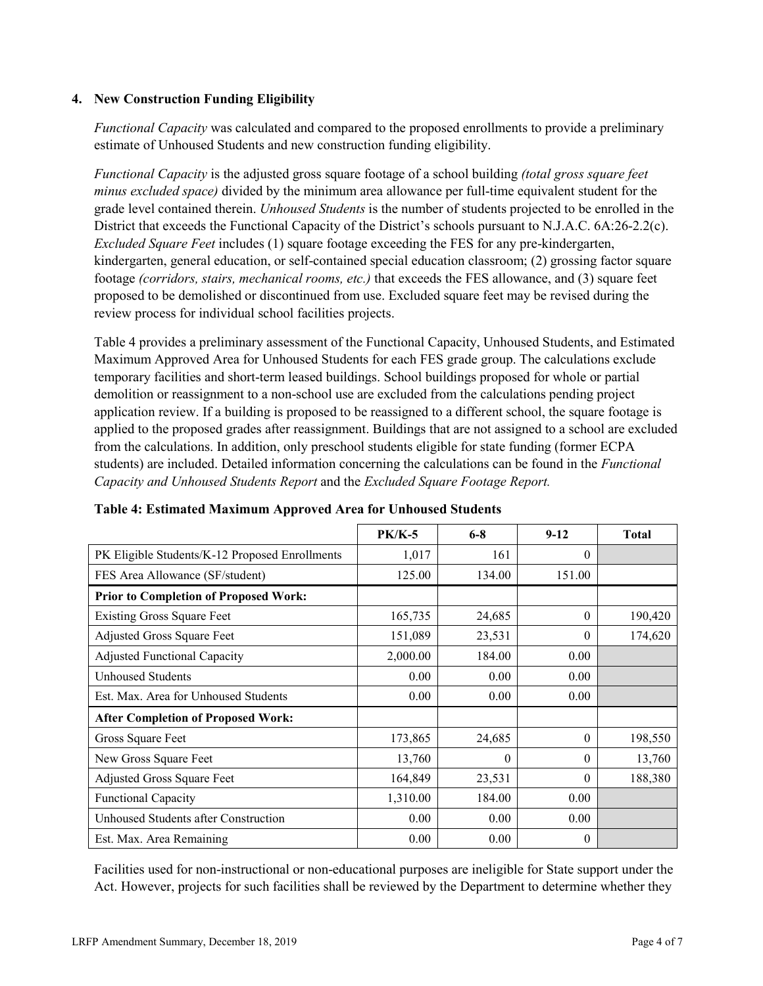### **4. New Construction Funding Eligibility**

*Functional Capacity* was calculated and compared to the proposed enrollments to provide a preliminary estimate of Unhoused Students and new construction funding eligibility.

*Functional Capacity* is the adjusted gross square footage of a school building *(total gross square feet minus excluded space)* divided by the minimum area allowance per full-time equivalent student for the grade level contained therein. *Unhoused Students* is the number of students projected to be enrolled in the District that exceeds the Functional Capacity of the District's schools pursuant to N.J.A.C. 6A:26-2.2(c). *Excluded Square Feet* includes (1) square footage exceeding the FES for any pre-kindergarten, kindergarten, general education, or self-contained special education classroom; (2) grossing factor square footage *(corridors, stairs, mechanical rooms, etc.)* that exceeds the FES allowance, and (3) square feet proposed to be demolished or discontinued from use. Excluded square feet may be revised during the review process for individual school facilities projects.

Table 4 provides a preliminary assessment of the Functional Capacity, Unhoused Students, and Estimated Maximum Approved Area for Unhoused Students for each FES grade group. The calculations exclude temporary facilities and short-term leased buildings. School buildings proposed for whole or partial demolition or reassignment to a non-school use are excluded from the calculations pending project application review. If a building is proposed to be reassigned to a different school, the square footage is applied to the proposed grades after reassignment. Buildings that are not assigned to a school are excluded from the calculations. In addition, only preschool students eligible for state funding (former ECPA students) are included. Detailed information concerning the calculations can be found in the *Functional Capacity and Unhoused Students Report* and the *Excluded Square Footage Report.*

|                                                | $PK/K-5$ | $6 - 8$  | $9-12$   | <b>Total</b> |
|------------------------------------------------|----------|----------|----------|--------------|
| PK Eligible Students/K-12 Proposed Enrollments | 1,017    | 161      | $\theta$ |              |
| FES Area Allowance (SF/student)                | 125.00   | 134.00   | 151.00   |              |
| <b>Prior to Completion of Proposed Work:</b>   |          |          |          |              |
| <b>Existing Gross Square Feet</b>              | 165,735  | 24,685   | $\theta$ | 190,420      |
| Adjusted Gross Square Feet                     | 151,089  | 23,531   | $\theta$ | 174,620      |
| <b>Adjusted Functional Capacity</b>            | 2,000.00 | 184.00   | 0.00     |              |
| Unhoused Students                              | 0.00     | 0.00     | 0.00     |              |
| Est. Max. Area for Unhoused Students           | 0.00     | 0.00     | 0.00     |              |
| <b>After Completion of Proposed Work:</b>      |          |          |          |              |
| Gross Square Feet                              | 173,865  | 24,685   | $\theta$ | 198,550      |
| New Gross Square Feet                          | 13,760   | $\theta$ | $\theta$ | 13,760       |
| Adjusted Gross Square Feet                     | 164,849  | 23,531   | $\Omega$ | 188,380      |
| <b>Functional Capacity</b>                     | 1,310.00 | 184.00   | 0.00     |              |
| Unhoused Students after Construction           | 0.00     | 0.00     | 0.00     |              |
| Est. Max. Area Remaining                       | 0.00     | 0.00     | $\theta$ |              |

**Table 4: Estimated Maximum Approved Area for Unhoused Students**

Facilities used for non-instructional or non-educational purposes are ineligible for State support under the Act. However, projects for such facilities shall be reviewed by the Department to determine whether they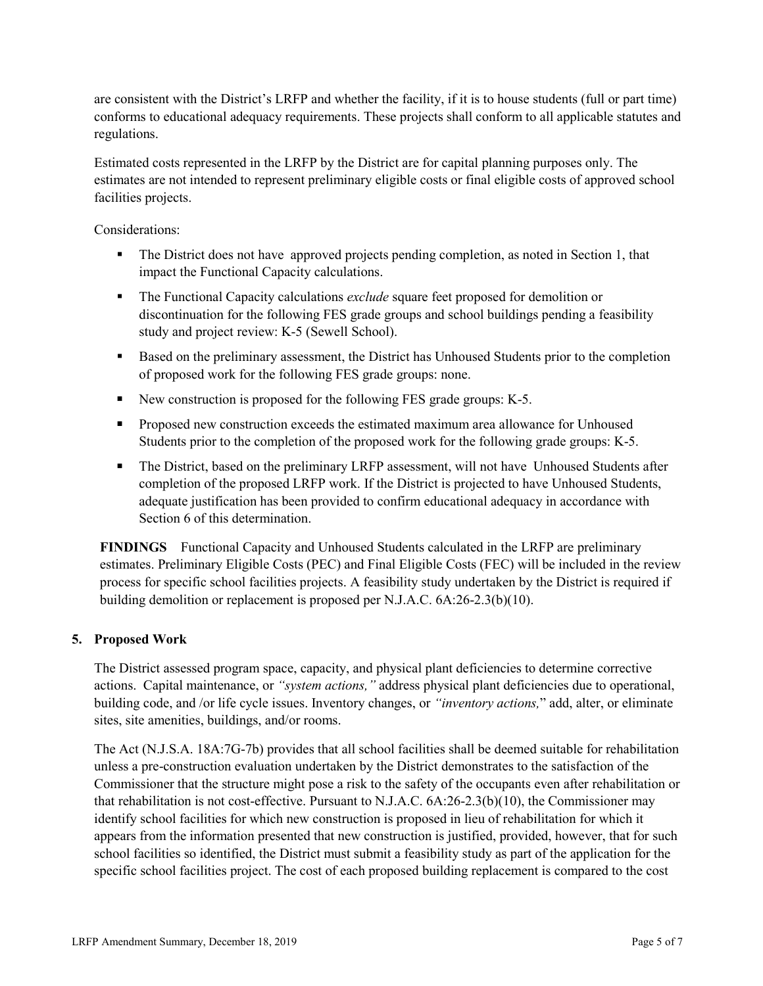are consistent with the District's LRFP and whether the facility, if it is to house students (full or part time) conforms to educational adequacy requirements. These projects shall conform to all applicable statutes and regulations.

Estimated costs represented in the LRFP by the District are for capital planning purposes only. The estimates are not intended to represent preliminary eligible costs or final eligible costs of approved school facilities projects.

Considerations:

- The District does not have approved projects pending completion, as noted in Section 1, that impact the Functional Capacity calculations.
- The Functional Capacity calculations *exclude* square feet proposed for demolition or discontinuation for the following FES grade groups and school buildings pending a feasibility study and project review: K-5 (Sewell School).
- Based on the preliminary assessment, the District has Unhoused Students prior to the completion of proposed work for the following FES grade groups: none.
- New construction is proposed for the following FES grade groups: K-5.
- **Proposed new construction exceeds the estimated maximum area allowance for Unhoused** Students prior to the completion of the proposed work for the following grade groups: K-5.
- The District, based on the preliminary LRFP assessment, will not have Unhoused Students after completion of the proposed LRFP work. If the District is projected to have Unhoused Students, adequate justification has been provided to confirm educational adequacy in accordance with Section 6 of this determination.

**FINDINGS** Functional Capacity and Unhoused Students calculated in the LRFP are preliminary estimates. Preliminary Eligible Costs (PEC) and Final Eligible Costs (FEC) will be included in the review process for specific school facilities projects. A feasibility study undertaken by the District is required if building demolition or replacement is proposed per N.J.A.C. 6A:26-2.3(b)(10).

## **5. Proposed Work**

The District assessed program space, capacity, and physical plant deficiencies to determine corrective actions. Capital maintenance, or *"system actions,"* address physical plant deficiencies due to operational, building code, and /or life cycle issues. Inventory changes, or *"inventory actions,*" add, alter, or eliminate sites, site amenities, buildings, and/or rooms.

The Act (N.J.S.A. 18A:7G-7b) provides that all school facilities shall be deemed suitable for rehabilitation unless a pre-construction evaluation undertaken by the District demonstrates to the satisfaction of the Commissioner that the structure might pose a risk to the safety of the occupants even after rehabilitation or that rehabilitation is not cost-effective. Pursuant to N.J.A.C. 6A:26-2.3(b)(10), the Commissioner may identify school facilities for which new construction is proposed in lieu of rehabilitation for which it appears from the information presented that new construction is justified, provided, however, that for such school facilities so identified, the District must submit a feasibility study as part of the application for the specific school facilities project. The cost of each proposed building replacement is compared to the cost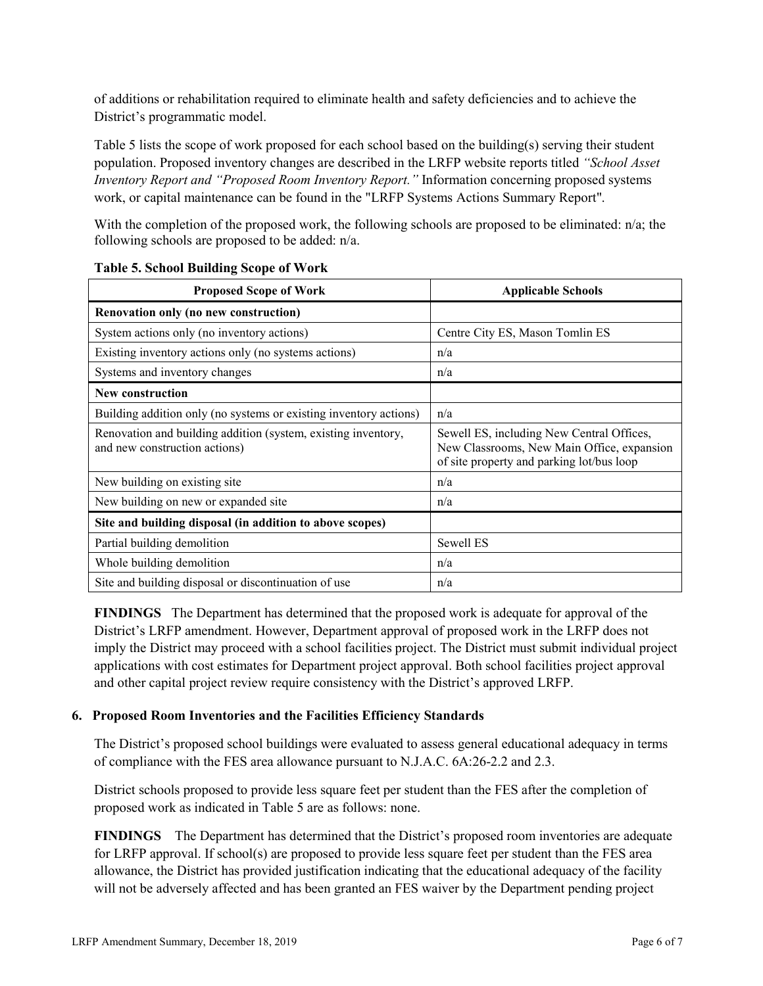of additions or rehabilitation required to eliminate health and safety deficiencies and to achieve the District's programmatic model.

Table 5 lists the scope of work proposed for each school based on the building(s) serving their student population. Proposed inventory changes are described in the LRFP website reports titled *"School Asset Inventory Report and "Proposed Room Inventory Report."* Information concerning proposed systems work, or capital maintenance can be found in the "LRFP Systems Actions Summary Report".

With the completion of the proposed work, the following schools are proposed to be eliminated: n/a; the following schools are proposed to be added: n/a.

| <b>Proposed Scope of Work</b>                                                                  | <b>Applicable Schools</b>                                                                                                            |
|------------------------------------------------------------------------------------------------|--------------------------------------------------------------------------------------------------------------------------------------|
| Renovation only (no new construction)                                                          |                                                                                                                                      |
| System actions only (no inventory actions)                                                     | Centre City ES, Mason Tomlin ES                                                                                                      |
| Existing inventory actions only (no systems actions)                                           | n/a                                                                                                                                  |
| Systems and inventory changes                                                                  | n/a                                                                                                                                  |
| <b>New construction</b>                                                                        |                                                                                                                                      |
| Building addition only (no systems or existing inventory actions)                              | n/a                                                                                                                                  |
| Renovation and building addition (system, existing inventory,<br>and new construction actions) | Sewell ES, including New Central Offices,<br>New Classrooms, New Main Office, expansion<br>of site property and parking lot/bus loop |
| New building on existing site                                                                  | n/a                                                                                                                                  |
| New building on new or expanded site                                                           | n/a                                                                                                                                  |
| Site and building disposal (in addition to above scopes)                                       |                                                                                                                                      |
| Partial building demolition                                                                    | Sewell ES                                                                                                                            |
| Whole building demolition                                                                      | n/a                                                                                                                                  |
| Site and building disposal or discontinuation of use                                           | n/a                                                                                                                                  |

#### **Table 5. School Building Scope of Work**

**FINDINGS** The Department has determined that the proposed work is adequate for approval of the District's LRFP amendment. However, Department approval of proposed work in the LRFP does not imply the District may proceed with a school facilities project. The District must submit individual project applications with cost estimates for Department project approval. Both school facilities project approval and other capital project review require consistency with the District's approved LRFP.

## **6. Proposed Room Inventories and the Facilities Efficiency Standards**

The District's proposed school buildings were evaluated to assess general educational adequacy in terms of compliance with the FES area allowance pursuant to N.J.A.C. 6A:26-2.2 and 2.3.

District schools proposed to provide less square feet per student than the FES after the completion of proposed work as indicated in Table 5 are as follows: none.

**FINDINGS** The Department has determined that the District's proposed room inventories are adequate for LRFP approval. If school(s) are proposed to provide less square feet per student than the FES area allowance, the District has provided justification indicating that the educational adequacy of the facility will not be adversely affected and has been granted an FES waiver by the Department pending project